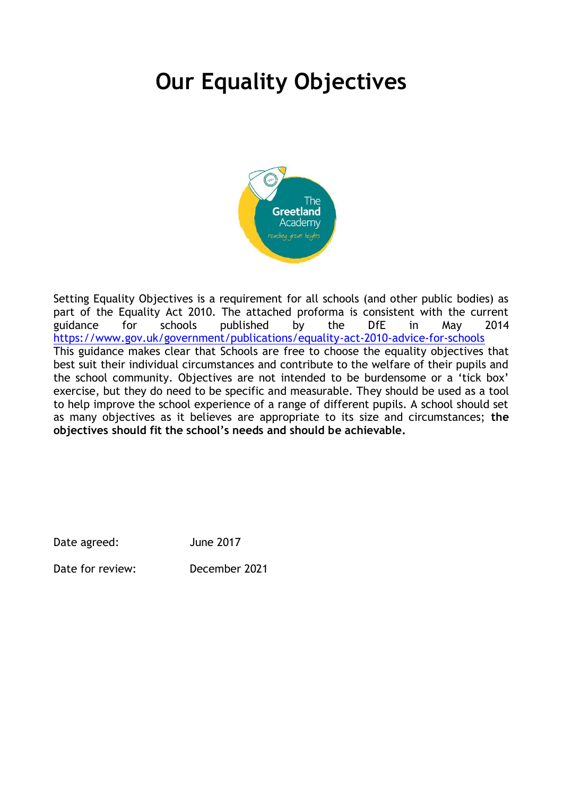# **Our Equality Objectives**



Setting Equality Objectives is a requirement for all schools (and other public bodies) as part of the Equality Act 2010. The attached proforma is consistent with the current guidance for schools published by the DfE in May 2014 <https://www.gov.uk/government/publications/equality-act-2010-advice-for-schools> This guidance makes clear that Schools are free to choose the equality objectives that best suit their individual circumstances and contribute to the welfare of their pupils and the school community. Objectives are not intended to be burdensome or a 'tick box' exercise, but they do need to be specific and measurable. They should be used as a tool to help improve the school experience of a range of different pupils. A school should set as many objectives as it believes are appropriate to its size and circumstances; **the objectives should fit the school's needs and should be achievable.** 

| <b>June 2017</b><br>Date agreed: |
|----------------------------------|
|----------------------------------|

Date for review: December 2021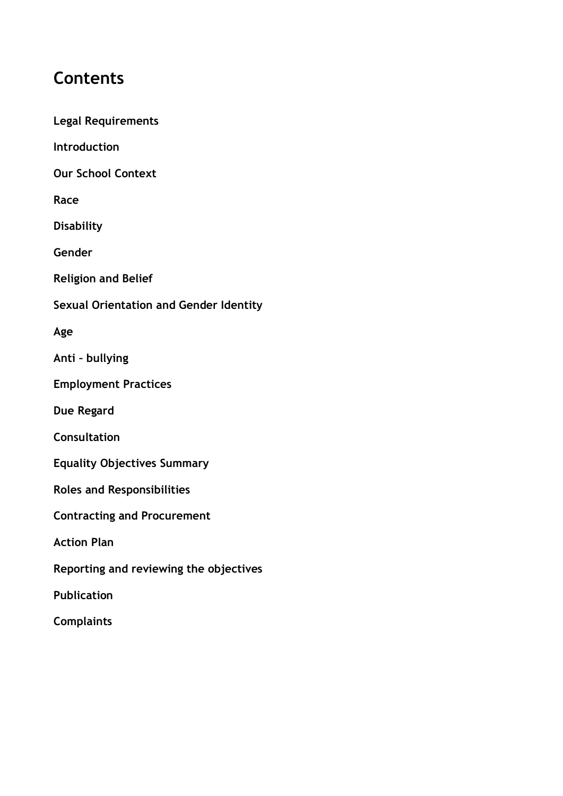## **Contents**

**Complaints**

**Legal Requirements**

**Introduction Our School Context Race Disability Gender Religion and Belief Sexual Orientation and Gender Identity Age Anti – bullying Employment Practices Due Regard Consultation Equality Objectives Summary Roles and Responsibilities Contracting and Procurement Action Plan Reporting and reviewing the objectives Publication**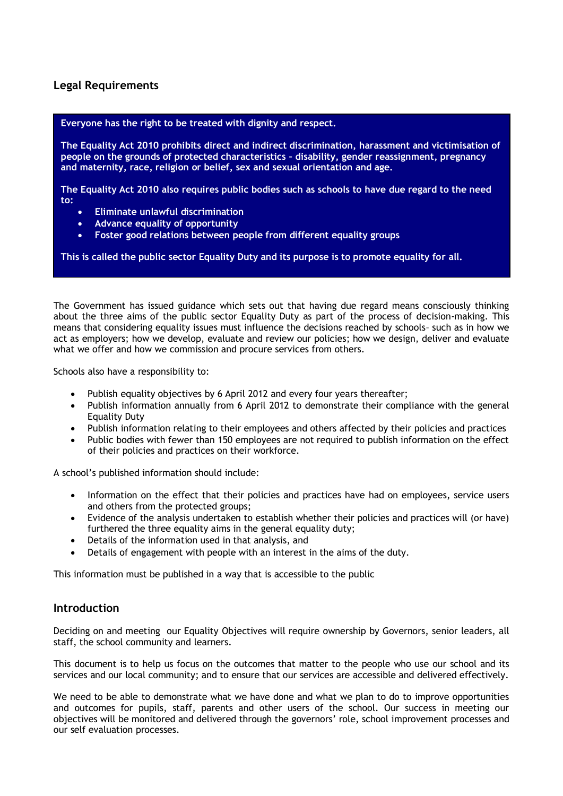### **Legal Requirements**

#### **Everyone has the right to be treated with dignity and respect.**

**The Equality Act 2010 prohibits direct and indirect discrimination, harassment and victimisation of people on the grounds of protected characteristics – disability, gender reassignment, pregnancy and maternity, race, religion or belief, sex and sexual orientation and age.**

**The Equality Act 2010 also requires public bodies such as schools to have due regard to the need to:**

- **Eliminate unlawful discrimination**
- **Advance equality of opportunity**
- **Foster good relations between people from different equality groups**

**This is called the public sector Equality Duty and its purpose is to promote equality for all.** 

The Government has issued guidance which sets out that having due regard means consciously thinking about the three aims of the public sector Equality Duty as part of the process of decision-making. This means that considering equality issues must influence the decisions reached by schools– such as in how we act as employers; how we develop, evaluate and review our policies; how we design, deliver and evaluate what we offer and how we commission and procure services from others.

Schools also have a responsibility to:

- Publish equality objectives by 6 April 2012 and every four years thereafter;
- Publish information annually from 6 April 2012 to demonstrate their compliance with the general Equality Duty
- Publish information relating to their employees and others affected by their policies and practices
- Public bodies with fewer than 150 employees are not required to publish information on the effect of their policies and practices on their workforce.

A school's published information should include:

- Information on the effect that their policies and practices have had on employees, service users and others from the protected groups;
- Evidence of the analysis undertaken to establish whether their policies and practices will (or have) furthered the three equality aims in the general equality duty;
- Details of the information used in that analysis, and
- Details of engagement with people with an interest in the aims of the duty.

This information must be published in a way that is accessible to the public

#### **Introduction**

Deciding on and meeting our Equality Objectives will require ownership by Governors, senior leaders, all staff, the school community and learners.

This document is to help us focus on the outcomes that matter to the people who use our school and its services and our local community; and to ensure that our services are accessible and delivered effectively.

We need to be able to demonstrate what we have done and what we plan to do to improve opportunities and outcomes for pupils, staff, parents and other users of the school. Our success in meeting our objectives will be monitored and delivered through the governors' role, school improvement processes and our self evaluation processes.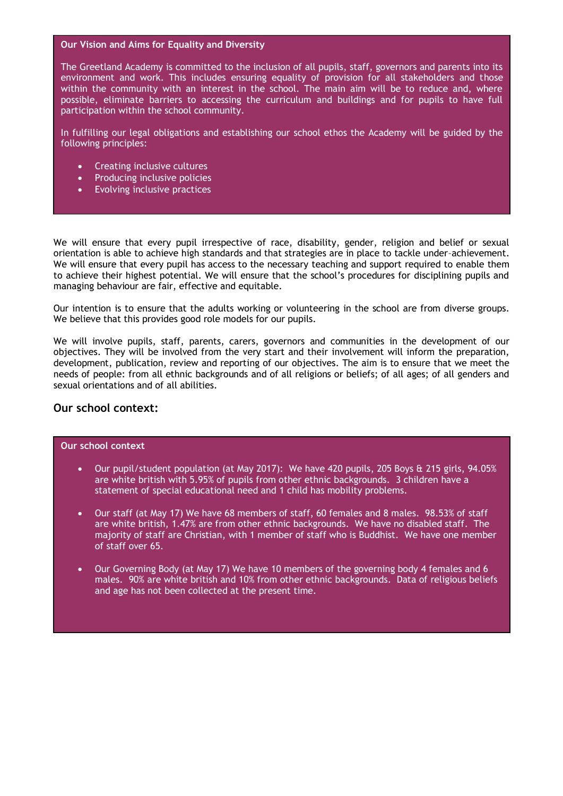#### **Our Vision and Aims for Equality and Diversity**

The Greetland Academy is committed to the inclusion of all pupils, staff, governors and parents into its environment and work. This includes ensuring equality of provision for all stakeholders and those within the community with an interest in the school. The main aim will be to reduce and, where possible, eliminate barriers to accessing the curriculum and buildings and for pupils to have full participation within the school community.

In fulfilling our legal obligations and establishing our school ethos the Academy will be guided by the following principles:

- Creating inclusive cultures
- Producing inclusive policies
- Evolving inclusive practices

We will ensure that every pupil irrespective of race, disability, gender, religion and belief or sexual orientation is able to achieve high standards and that strategies are in place to tackle under–achievement. We will ensure that every pupil has access to the necessary teaching and support required to enable them to achieve their highest potential. We will ensure that the school's procedures for disciplining pupils and managing behaviour are fair, effective and equitable.

Our intention is to ensure that the adults working or volunteering in the school are from diverse groups. We believe that this provides good role models for our pupils.

We will involve pupils, staff, parents, carers, governors and communities in the development of our objectives. They will be involved from the very start and their involvement will inform the preparation, development, publication, review and reporting of our objectives. The aim is to ensure that we meet the needs of people: from all ethnic backgrounds and of all religions or beliefs; of all ages; of all genders and sexual orientations and of all abilities.

#### **Our school context:**

#### **Our school context**

- Our pupil/student population (at May 2017): We have 420 pupils, 205 Boys & 215 girls, 94.05% are white british with 5.95% of pupils from other ethnic backgrounds. 3 children have a statement of special educational need and 1 child has mobility problems.
- Our staff (at May 17) We have 68 members of staff, 60 females and 8 males. 98.53% of staff are white british, 1.47% are from other ethnic backgrounds. We have no disabled staff. The majority of staff are Christian, with 1 member of staff who is Buddhist. We have one member of staff over 65.
- Our Governing Body (at May 17) We have 10 members of the governing body 4 females and 6 males. 90% are white british and 10% from other ethnic backgrounds. Data of religious beliefs and age has not been collected at the present time.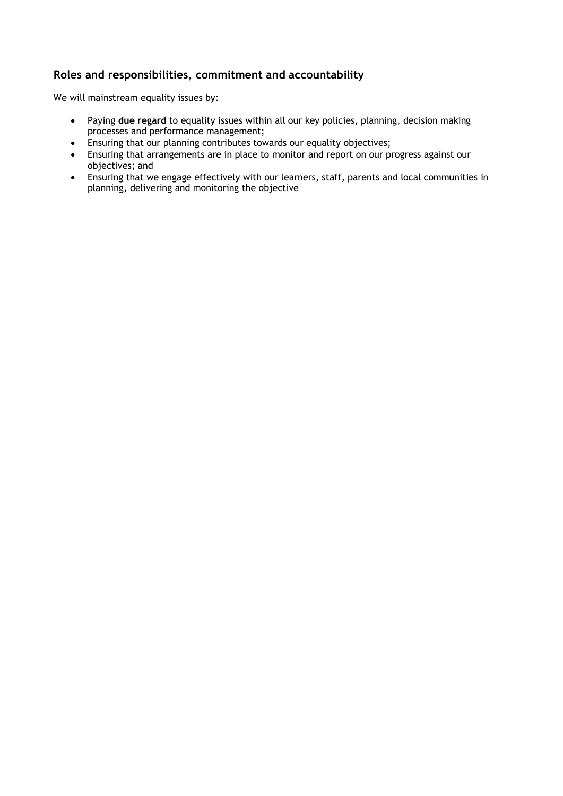### **Roles and responsibilities, commitment and accountability**

We will mainstream equality issues by:

- Paying **due regard** to equality issues within all our key policies, planning, decision making processes and performance management;
- Ensuring that our planning contributes towards our equality objectives;
- Ensuring that arrangements are in place to monitor and report on our progress against our objectives; and
- Ensuring that we engage effectively with our learners, staff, parents and local communities in planning, delivering and monitoring the objective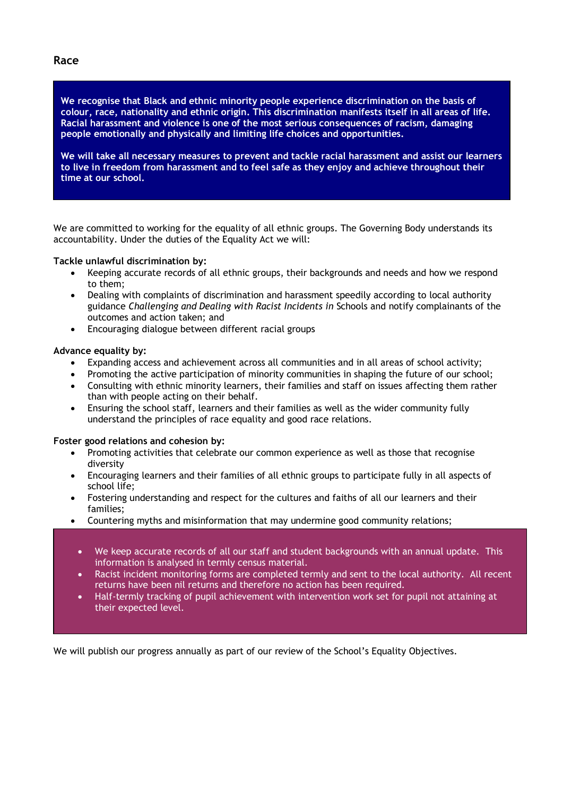#### **Race**

**We recognise that Black and ethnic minority people experience discrimination on the basis of colour, race, nationality and ethnic origin. This discrimination manifests itself in all areas of life. Racial harassment and violence is one of the most serious consequences of racism, damaging people emotionally and physically and limiting life choices and opportunities.** 

**We will take all necessary measures to prevent and tackle racial harassment and assist our learners to live in freedom from harassment and to feel safe as they enjoy and achieve throughout their time at our school.** 

We are committed to working for the equality of all ethnic groups. The Governing Body understands its accountability. Under the duties of the Equality Act we will:

#### **Tackle unlawful discrimination by:**

- Keeping accurate records of all ethnic groups, their backgrounds and needs and how we respond to them;
- Dealing with complaints of discrimination and harassment speedily according to local authority guidance *Challenging and Dealing with Racist Incidents in* Schools and notify complainants of the outcomes and action taken; and
- Encouraging dialogue between different racial groups

#### **Advance equality by:**

- Expanding access and achievement across all communities and in all areas of school activity;
- Promoting the active participation of minority communities in shaping the future of our school;
- Consulting with ethnic minority learners, their families and staff on issues affecting them rather than with people acting on their behalf.
- Ensuring the school staff, learners and their families as well as the wider community fully understand the principles of race equality and good race relations.

#### **Foster good relations and cohesion by:**

- Promoting activities that celebrate our common experience as well as those that recognise diversity
- Encouraging learners and their families of all ethnic groups to participate fully in all aspects of school life;
- Fostering understanding and respect for the cultures and faiths of all our learners and their families;
- Countering myths and misinformation that may undermine good community relations;
	- We keep accurate records of all our staff and student backgrounds with an annual update. This information is analysed in termly census material.
	- Racist incident monitoring forms are completed termly and sent to the local authority. All recent returns have been nil returns and therefore no action has been required.
	- Half-termly tracking of pupil achievement with intervention work set for pupil not attaining at their expected level.

We will publish our progress annually as part of our review of the School's Equality Objectives.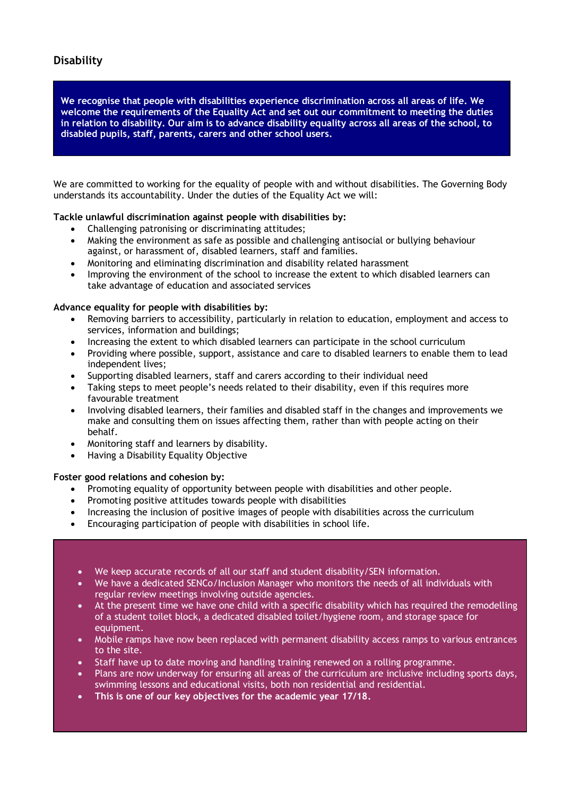### **Disability**

**We recognise that people with disabilities experience discrimination across all areas of life. We welcome the requirements of the Equality Act and set out our commitment to meeting the duties in relation to disability. Our aim is to advance disability equality across all areas of the school, to disabled pupils, staff, parents, carers and other school users.**

We are committed to working for the equality of people with and without disabilities. The Governing Body understands its accountability. Under the duties of the Equality Act we will:

#### **Tackle unlawful discrimination against people with disabilities by:**

- Challenging patronising or discriminating attitudes;
- Making the environment as safe as possible and challenging antisocial or bullying behaviour against, or harassment of, disabled learners, staff and families.
- Monitoring and eliminating discrimination and disability related harassment
- Improving the environment of the school to increase the extent to which disabled learners can take advantage of education and associated services

#### **Advance equality for people with disabilities by:**

- Removing barriers to accessibility, particularly in relation to education, employment and access to services, information and buildings;
- Increasing the extent to which disabled learners can participate in the school curriculum
- Providing where possible, support, assistance and care to disabled learners to enable them to lead independent lives;
- Supporting disabled learners, staff and carers according to their individual need
- Taking steps to meet people's needs related to their disability, even if this requires more favourable treatment
- Involving disabled learners, their families and disabled staff in the changes and improvements we make and consulting them on issues affecting them, rather than with people acting on their behalf.
- Monitoring staff and learners by disability.
- Having a Disability Equality Objective

#### **Foster good relations and cohesion by:**

- Promoting equality of opportunity between people with disabilities and other people.
- Promoting positive attitudes towards people with disabilities
- Increasing the inclusion of positive images of people with disabilities across the curriculum
- Encouraging participation of people with disabilities in school life.

#### We keep accurate records of all our staff and student disability/SEN information.

- We have a dedicated SENCo/Inclusion Manager who monitors the needs of all individuals with regular review meetings involving outside agencies.
- $\bullet$  At the present time we have one child with a specific disability which has required the remodelling of a student toilet block, a dedicated disabled toilet/hygiene room, and storage space for equipment.
- Mobile ramps have now been replaced with permanent disability access ramps to various entrances to the site.
- Staff have up to date moving and handling training renewed on a rolling programme.
- Plans are now underway for ensuring all areas of the curriculum are inclusive including sports days, swimming lessons and educational visits, both non residential and residential.
- **This is one of our key objectives for the academic year 17/18.**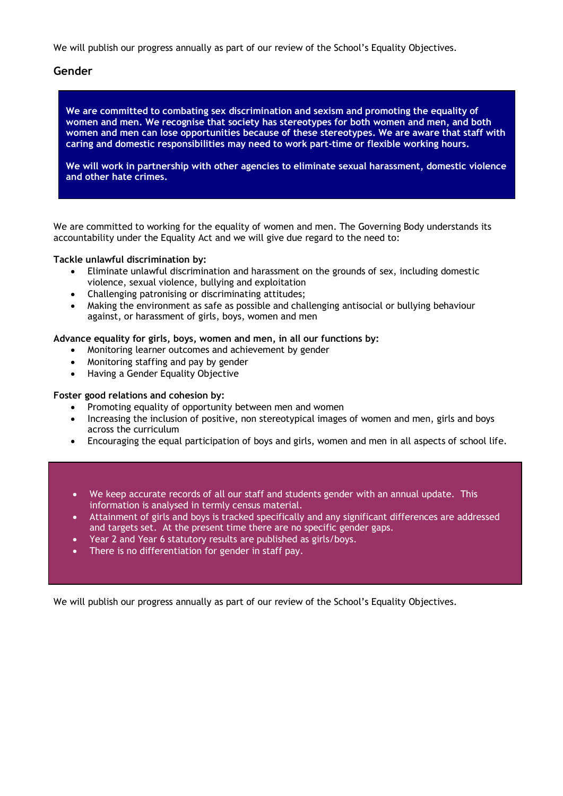We will publish our progress annually as part of our review of the School's Equality Objectives.

#### **Gender**

**We are committed to combating sex discrimination and sexism and promoting the equality of women and men. We recognise that society has stereotypes for both women and men, and both women and men can lose opportunities because of these stereotypes. We are aware that staff with caring and domestic responsibilities may need to work part-time or flexible working hours.**

**We will work in partnership with other agencies to eliminate sexual harassment, domestic violence and other hate crimes.**

We are committed to working for the equality of women and men. The Governing Body understands its accountability under the Equality Act and we will give due regard to the need to:

#### **Tackle unlawful discrimination by:**

- Eliminate unlawful discrimination and harassment on the grounds of sex, including domestic violence, sexual violence, bullying and exploitation
- Challenging patronising or discriminating attitudes;
- Making the environment as safe as possible and challenging antisocial or bullying behaviour against, or harassment of girls, boys, women and men

#### **Advance equality for girls, boys, women and men, in all our functions by:**

- Monitoring learner outcomes and achievement by gender
- Monitoring staffing and pay by gender
- Having a Gender Equality Objective

#### **Foster good relations and cohesion by:**

- Promoting equality of opportunity between men and women
- Increasing the inclusion of positive, non stereotypical images of women and men, girls and boys across the curriculum
- Encouraging the equal participation of boys and girls, women and men in all aspects of school life.

- We keep accurate records of all our staff and students gender with an annual update. This information is analysed in termly census material.
- Attainment of girls and boys is tracked specifically and any significant differences are addressed and targets set. At the present time there are no specific gender gaps.
- Year 2 and Year 6 statutory results are published as girls/boys.
- There is no differentiation for gender in staff pay.

We will publish our progress annually as part of our review of the School's Equality Objectives.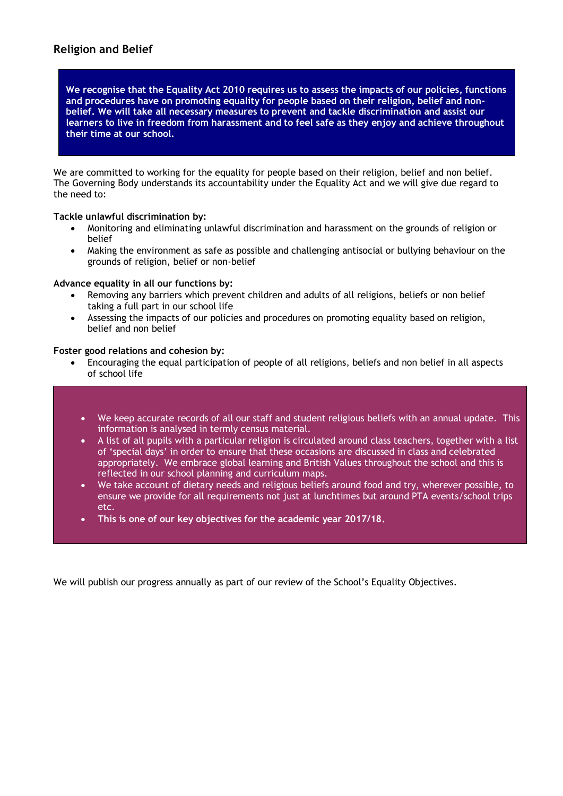**We recognise that the Equality Act 2010 requires us to assess the impacts of our policies, functions and procedures have on promoting equality for people based on their religion, belief and nonbelief. We will take all necessary measures to prevent and tackle discrimination and assist our learners to live in freedom from harassment and to feel safe as they enjoy and achieve throughout their time at our school.** 

We are committed to working for the equality for people based on their religion, belief and non belief. The Governing Body understands its accountability under the Equality Act and we will give due regard to the need to:

#### **Tackle unlawful discrimination by:**

- Monitoring and eliminating unlawful discrimination and harassment on the grounds of religion or belief
- Making the environment as safe as possible and challenging antisocial or bullying behaviour on the grounds of religion, belief or non-belief

#### **Advance equality in all our functions by:**

- Removing any barriers which prevent children and adults of all religions, beliefs or non belief taking a full part in our school life
- Assessing the impacts of our policies and procedures on promoting equality based on religion, belief and non belief

#### **Foster good relations and cohesion by:**

- Encouraging the equal participation of people of all religions, beliefs and non belief in all aspects of school life
	- We keep accurate records of all our staff and student religious beliefs with an annual update. This information is analysed in termly census material.
	- A list of all pupils with a particular religion is circulated around class teachers, together with a list of 'special days' in order to ensure that these occasions are discussed in class and celebrated appropriately. We embrace global learning and British Values throughout the school and this is reflected in our school planning and curriculum maps.
	- We take account of dietary needs and religious beliefs around food and try, wherever possible, to ensure we provide for all requirements not just at lunchtimes but around PTA events/school trips etc.
	- **This is one of our key objectives for the academic year 2017/18.**

We will publish our progress annually as part of our review of the School's Equality Objectives.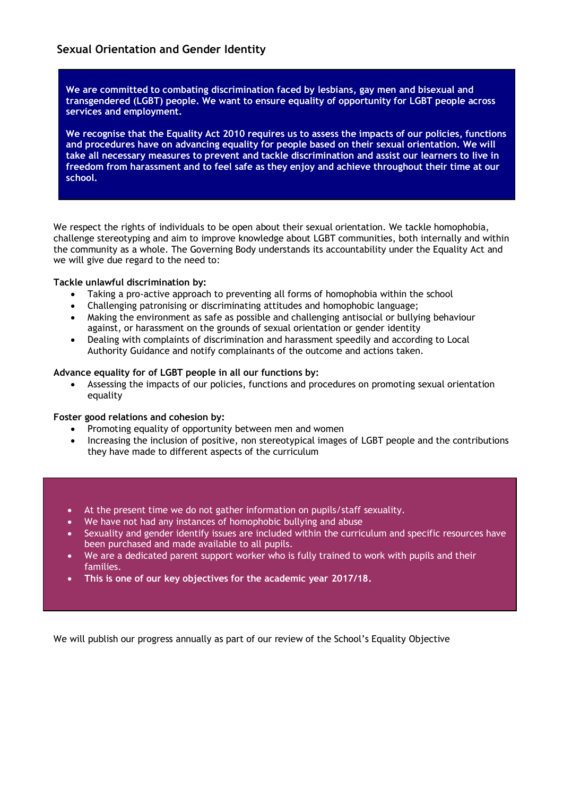**We are committed to combating discrimination faced by lesbians, gay men and bisexual and transgendered (LGBT) people. We want to ensure equality of opportunity for LGBT people across services and employment.**

**We recognise that the Equality Act 2010 requires us to assess the impacts of our policies, functions and procedures have on advancing equality for people based on their sexual orientation. We will take all necessary measures to prevent and tackle discrimination and assist our learners to live in freedom from harassment and to feel safe as they enjoy and achieve throughout their time at our school.** 

We respect the rights of individuals to be open about their sexual orientation. We tackle homophobia, challenge stereotyping and aim to improve knowledge about LGBT communities, both internally and within the community as a whole. The Governing Body understands its accountability under the Equality Act and we will give due regard to the need to:

#### **Tackle unlawful discrimination by:**

- Taking a pro-active approach to preventing all forms of homophobia within the school
- Challenging patronising or discriminating attitudes and homophobic language;
- Making the environment as safe as possible and challenging antisocial or bullying behaviour against, or harassment on the grounds of sexual orientation or gender identity
- Dealing with complaints of discrimination and harassment speedily and according to Local Authority Guidance and notify complainants of the outcome and actions taken.

#### **Advance equality for of LGBT people in all our functions by:**

• Assessing the impacts of our policies, functions and procedures on promoting sexual orientation equality

#### **Foster good relations and cohesion by:**

- Promoting equality of opportunity between men and women
- Increasing the inclusion of positive, non stereotypical images of LGBT people and the contributions they have made to different aspects of the curriculum

#### • At the present time we do not gather information on pupils/staff sexuality.

- We have not had any instances of homophobic bullying and abuse
- Sexuality and gender identify issues are included within the curriculum and specific resources have been purchased and made available to all pupils.
- We are a dedicated parent support worker who is fully trained to work with pupils and their families.
- **This is one of our key objectives for the academic year 2017/18.**

We will publish our progress annually as part of our review of the School's Equality Objective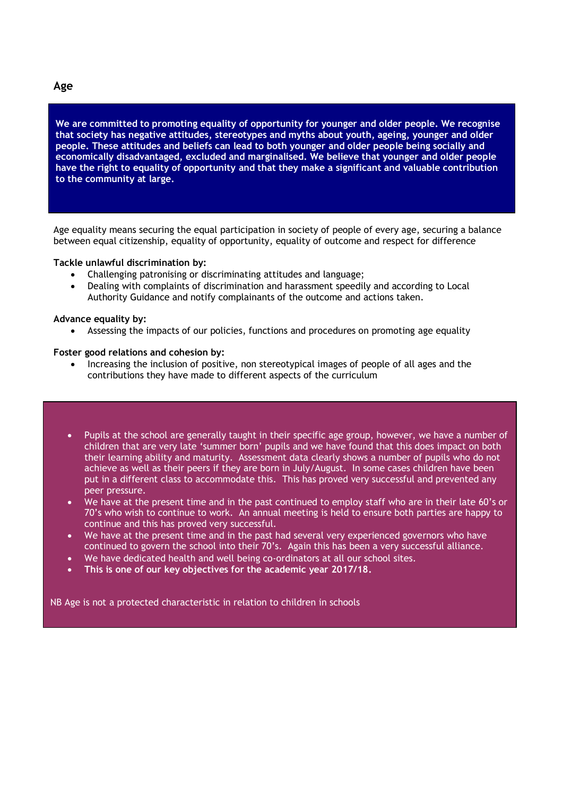#### **Age**

**We are committed to promoting equality of opportunity for younger and older people. We recognise that society has negative attitudes, stereotypes and myths about youth, ageing, younger and older people. These attitudes and beliefs can lead to both younger and older people being socially and economically disadvantaged, excluded and marginalised. We believe that younger and older people have the right to equality of opportunity and that they make a significant and valuable contribution to the community at large.**

Age equality means securing the equal participation in society of people of every age, securing a balance between equal citizenship, equality of opportunity, equality of outcome and respect for difference

#### **Tackle unlawful discrimination by:**

- Challenging patronising or discriminating attitudes and language;
- Dealing with complaints of discrimination and harassment speedily and according to Local Authority Guidance and notify complainants of the outcome and actions taken.

#### **Advance equality by:**

• Assessing the impacts of our policies, functions and procedures on promoting age equality

#### **Foster good relations and cohesion by:**

• Increasing the inclusion of positive, non stereotypical images of people of all ages and the contributions they have made to different aspects of the curriculum

- Pupils at the school are generally taught in their specific age group, however, we have a number of children that are very late 'summer born' pupils and we have found that this does impact on both their learning ability and maturity. Assessment data clearly shows a number of pupils who do not achieve as well as their peers if they are born in July/August. In some cases children have been put in a different class to accommodate this. This has proved very successful and prevented any peer pressure.
- We have at the present time and in the past continued to employ staff who are in their late 60's or 70's who wish to continue to work. An annual meeting is held to ensure both parties are happy to continue and this has proved very successful.
- We have at the present time and in the past had several very experienced governors who have continued to govern the school into their 70's. Again this has been a very successful alliance.
- We have dedicated health and well being co-ordinators at all our school sites.
- **This is one of our key objectives for the academic year 2017/18.**

NB Age is not a protected characteristic in relation to children in schools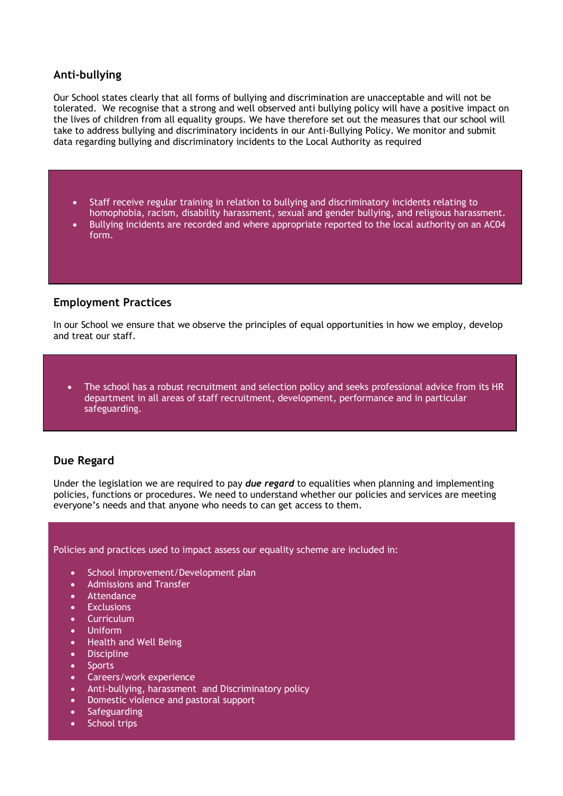#### **Anti-bullying**

Our School states clearly that all forms of bullying and discrimination are unacceptable and will not be tolerated. We recognise that a strong and well observed anti bullying policy will have a positive impact on the lives of children from all equality groups. We have therefore set out the measures that our school will take to address bullying and discriminatory incidents in our Anti-Bullying Policy. We monitor and submit data regarding bullying and discriminatory incidents to the Local Authority as required

- Staff receive regular training in relation to bullying and discriminatory incidents relating to homophobia, racism, disability harassment, sexual and gender bullying, and religious harassment.
- Bullying incidents are recorded and where appropriate reported to the local authority on an AC04 form.

#### **Employment Practices**

In our School we ensure that we observe the principles of equal opportunities in how we employ, develop and treat our staff.

• The school has a robust recruitment and selection policy and seeks professional advice from its HR department in all areas of staff recruitment, development, performance and in particular safeguarding.

#### **Due Regard**

Under the legislation we are required to pay *due regard* to equalities when planning and implementing policies, functions or procedures. We need to understand whether our policies and services are meeting everyone's needs and that anyone who needs to can get access to them.

Policies and practices used to impact assess our equality scheme are included in:

- School Improvement/Development plan
- Admissions and Transfer
- Attendance
- **Exclusions**
- Curriculum
- Uniform
- Health and Well Being
- Discipline
- **Sports**
- Careers/work experience
- Anti-bullying, harassment and Discriminatory policy
- Domestic violence and pastoral support
- Safeguarding
- School trips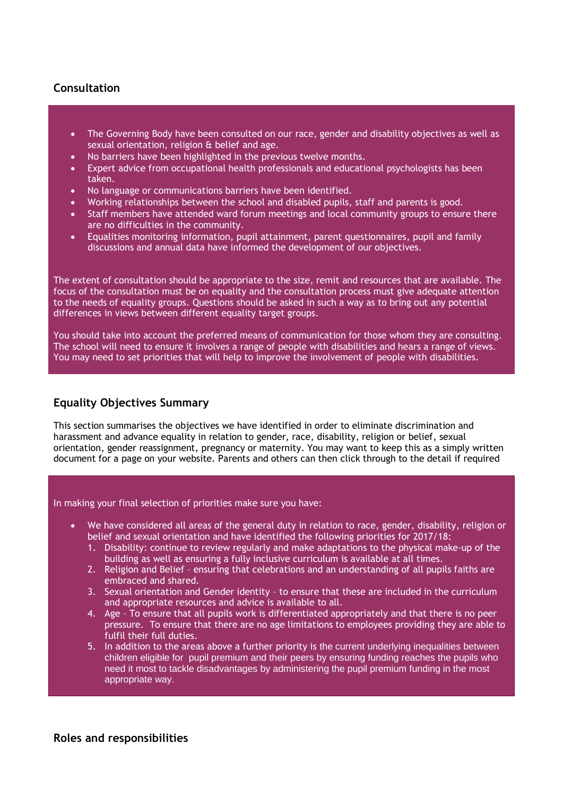### **Consultation**

- The Governing Body have been consulted on our race, gender and disability objectives as well as sexual orientation, religion & belief and age.
- No barriers have been highlighted in the previous twelve months.
- Expert advice from occupational health professionals and educational psychologists has been taken.
- No language or communications barriers have been identified.
- Working relationships between the school and disabled pupils, staff and parents is good.
- Staff members have attended ward forum meetings and local community groups to ensure there are no difficulties in the community.
- Equalities monitoring information, pupil attainment, parent questionnaires, pupil and family discussions and annual data have informed the development of our objectives.

The extent of consultation should be appropriate to the size, remit and resources that are available. The focus of the consultation must be on equality and the consultation process must give adequate attention to the needs of equality groups. Questions should be asked in such a way as to bring out any potential differences in views between different equality target groups.

You should take into account the preferred means of communication for those whom they are consulting. The school will need to ensure it involves a range of people with disabilities and hears a range of views. You may need to set priorities that will help to improve the involvement of people with disabilities.

### **Equality Objectives Summary**

This section summarises the objectives we have identified in order to eliminate discrimination and harassment and advance equality in relation to gender, race, disability, religion or belief, sexual orientation, gender reassignment, pregnancy or maternity. You may want to keep this as a simply written document for a page on your website. Parents and others can then click through to the detail if required

In making your final selection of priorities make sure you have:

- We have considered all areas of the general duty in relation to race, gender, disability, religion or belief and sexual orientation and have identified the following priorities for 2017/18:
	- 1. Disability: continue to review regularly and make adaptations to the physical make-up of the building as well as ensuring a fully inclusive curriculum is available at all times.
	- 2. Religion and Belief ensuring that celebrations and an understanding of all pupils faiths are embraced and shared.
	- 3. Sexual orientation and Gender identity to ensure that these are included in the curriculum and appropriate resources and advice is available to all.
	- 4. Age To ensure that all pupils work is differentiated appropriately and that there is no peer pressure. To ensure that there are no age limitations to employees providing they are able to fulfil their full duties.
	- 5. In addition to the areas above a further priority is the current underlying inequalities between children eligible for pupil premium and their peers by ensuring funding reaches the pupils who need it most to tackle disadvantages by administering the pupil premium funding in the most appropriate way.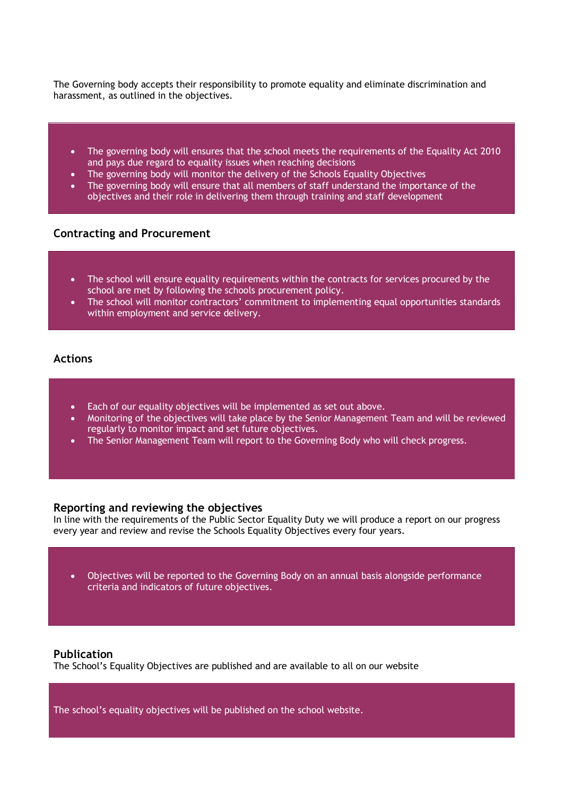The Governing body accepts their responsibility to promote equality and eliminate discrimination and harassment, as outlined in the objectives.

- The governing body will ensures that the school meets the requirements of the Equality Act 2010 and pays due regard to equality issues when reaching decisions
- The governing body will monitor the delivery of the Schools Equality Objectives
- The governing body will ensure that all members of staff understand the importance of the objectives and their role in delivering them through training and staff development

#### **Contracting and Procurement**

- The school will ensure equality requirements within the contracts for services procured by the school are met by following the schools procurement policy.
- The school will monitor contractors' commitment to implementing equal opportunities standards within employment and service delivery.

#### **Actions**

- Each of our equality objectives will be implemented as set out above.
- Monitoring of the objectives will take place by the Senior Management Team and will be reviewed regularly to monitor impact and set future objectives.
- The Senior Management Team will report to the Governing Body who will check progress.

#### **Reporting and reviewing the objectives**

In line with the requirements of the Public Sector Equality Duty we will produce a report on our progress every year and review and revise the Schools Equality Objectives every four years.

• Objectives will be reported to the Governing Body on an annual basis alongside performance criteria and indicators of future objectives.

#### **Publication**

The School's Equality Objectives are published and are available to all on our website

The school's equality objectives will be published on the school website.